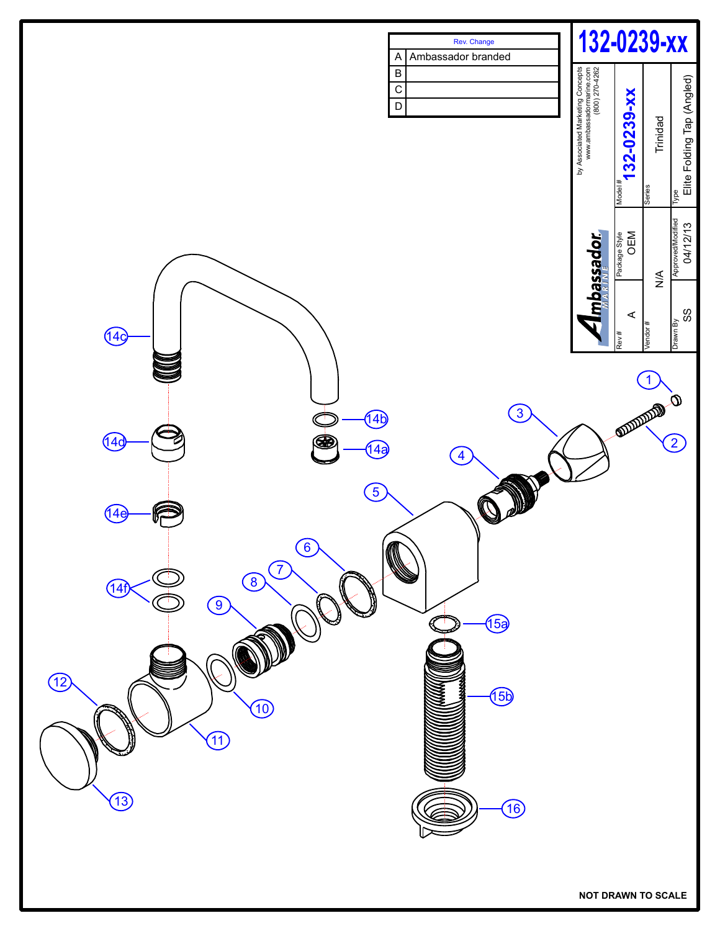